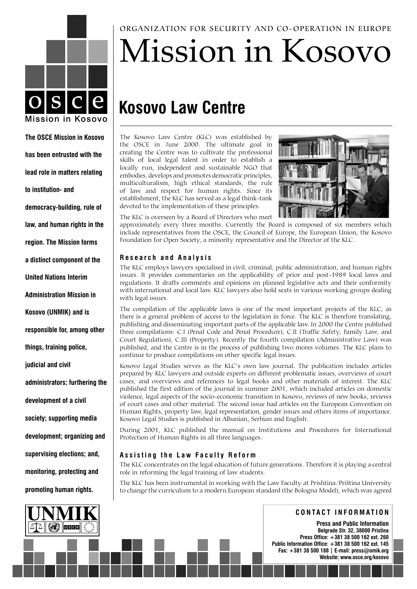

### **The OSCE Mission in Kosovo has been entrusted with the lead role in matters relating to institution- and democracy-building, rule of law, and human rights in the region. The Mission forms a distinct component of the United Nations Interim Administration Mission in Kosovo (UNMIK) and is responsible for, among other things, training police, judicial and civil administrators; furthering the development of a civil society; supporting media development; organizing and supervising elections; and, monitoring, protecting and promoting human rights.**



ORGANIZATION FOR SECURITY AND CO-OPERATION IN EUROPE

# Mission in Kosovo

## **Kosovo Law Centre**

The Kosovo Law Centre (KLC) was established by the OSCE in June 2000. The ultimate goal in creating the Centre was to cultivate the professional skills of local legal talent in order to establish a locally run, independent and sustainable NGO that embodies, develops and promotes democratic principles, multiculturalism, high ethical standards, the rule of law and respect for human rights. Since its establishment, the KLC has served as a legal think-tank devoted to the implementation of these principles.



The KLC is overseen by a Board of Directors who meet

approximately every three months. Currently the Board is composed of six members which include representatives from the OSCE, the Council of Europe, the European Union, the Kosovo Foundation for Open Society, a minority representative and the Director of the KLC.

#### **R e s e a r c h a n d A n a l y s i s**

The KLC employs lawyers specialised in civil, criminal, public administration, and human rights issues. It provides commentaries on the applicability of prior and post-1989 local laws and regulations. It drafts comments and opinions on planned legislative acts and their conformity with international and local law. KLC lawyers also hold seats in various working groups dealing with legal issues.

The compilation of the applicable laws is one of the most important projects of the KLC, as there is a general problem of access to the legislation in force. The KLC is therefore translating, publishing and disseminating important parts of the applicable law. In 2000 the Centre published three compilations: C.I (Penal Code and Penal Procedure), C.II (Traffic Safety, Family Law, and Court Regulation), C.III (Property). Recently the fourth compilation (Administrative Law) was published, and the Centre is in the process of publishing two mores volumes. The KLC plans to continue to produce compilations on other specific legal issues.

Kosovo Legal Studies serves as the KLC's own law journal. The publication includes articles prepared by KLC lawyers and outside experts on different problematic issues, overviews of court cases, and overviews and references to legal books and other materials of interest. The KLC published the first edition of the journal in summer 2001, which included articles on domestic violence, legal aspects of the socio-economic transition in Kosovo, reviews of new books, reviews of court cases and other material. The second issue had articles on the European Convention on Human Rights, property law, legal representation, gender issues and others items of importance. Kosovo Legal Studies is published in Albanian, Serbian and English.

During 2001, KLC published the manual on Institutions and Procedures for International Protection of Human Rights in all three languages.

#### Assisting the Law Faculty Reform

The KLC concentrates on the legal education of future generations. Therefore it is playing a central role in reforming the legal training of law students.

The KLC has been instrumental in working with the Law Faculty at Prishtina/Priština University to change the curriculum to a modern European standard (the Bologna Model), which was agreed

**C O N T A C T I N F O R M A T I O N**

**Press and Public Information Belgrade Str. 32, 38000 Pristina Press Office: +381 38 500 162 ext. 260 Public Information Office: +381 38 500 162 ext. 145 Fax: +381 38 500 188 | E-mail: press@omik.org Website: www.osce.org/kosovo**